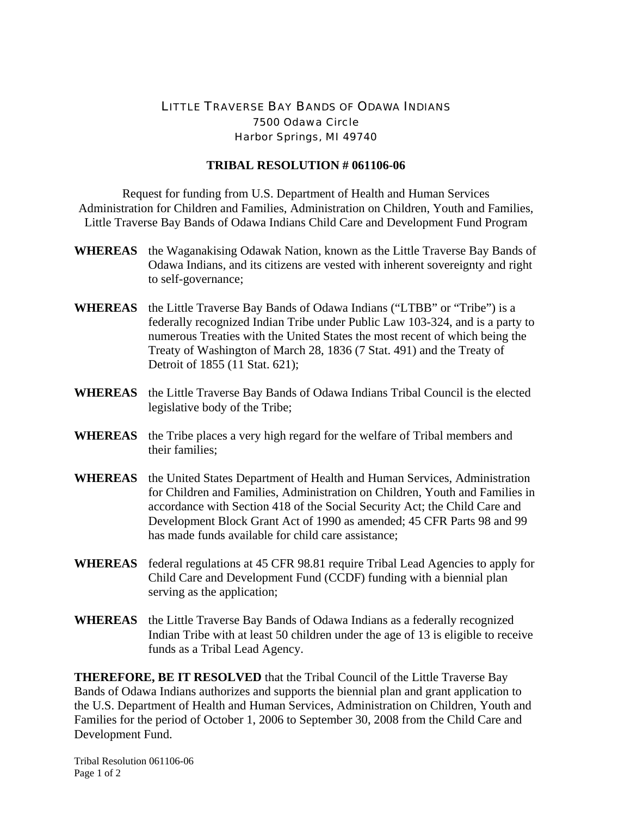## LITTLE TRAVERSE BAY BANDS OF ODAWA INDIANS 7500 Odawa Circle Harbor Springs, MI 49740

## **TRIBAL RESOLUTION # 061106-06**

Request for funding from U.S. Department of Health and Human Services Administration for Children and Families, Administration on Children, Youth and Families, Little Traverse Bay Bands of Odawa Indians Child Care and Development Fund Program

- **WHEREAS** the Waganakising Odawak Nation, known as the Little Traverse Bay Bands of Odawa Indians, and its citizens are vested with inherent sovereignty and right to self-governance;
- **WHEREAS** the Little Traverse Bay Bands of Odawa Indians ("LTBB" or "Tribe") is a federally recognized Indian Tribe under Public Law 103-324, and is a party to numerous Treaties with the United States the most recent of which being the Treaty of Washington of March 28, 1836 (7 Stat. 491) and the Treaty of Detroit of 1855 (11 Stat. 621);
- **WHEREAS** the Little Traverse Bay Bands of Odawa Indians Tribal Council is the elected legislative body of the Tribe;
- **WHEREAS** the Tribe places a very high regard for the welfare of Tribal members and their families;
- **WHEREAS** the United States Department of Health and Human Services, Administration for Children and Families, Administration on Children, Youth and Families in accordance with Section 418 of the Social Security Act; the Child Care and Development Block Grant Act of 1990 as amended; 45 CFR Parts 98 and 99 has made funds available for child care assistance;
- **WHEREAS** federal regulations at 45 CFR 98.81 require Tribal Lead Agencies to apply for Child Care and Development Fund (CCDF) funding with a biennial plan serving as the application;
- **WHEREAS** the Little Traverse Bay Bands of Odawa Indians as a federally recognized Indian Tribe with at least 50 children under the age of 13 is eligible to receive funds as a Tribal Lead Agency.

**THEREFORE, BE IT RESOLVED** that the Tribal Council of the Little Traverse Bay Bands of Odawa Indians authorizes and supports the biennial plan and grant application to the U.S. Department of Health and Human Services, Administration on Children, Youth and Families for the period of October 1, 2006 to September 30, 2008 from the Child Care and Development Fund.